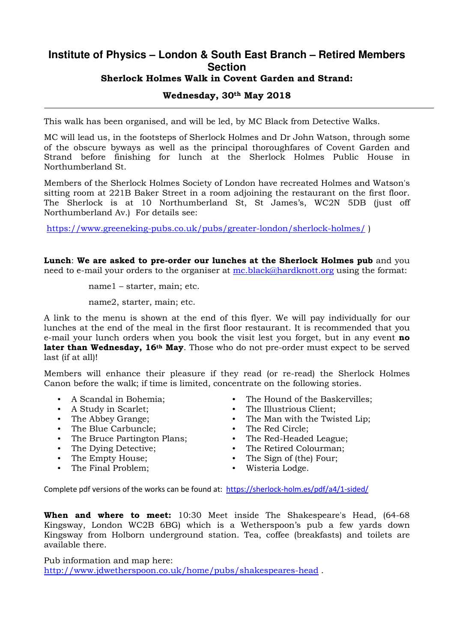## **Institute of Physics – London & South East Branch – Retired Members Section**  Sherlock Holmes Walk in Covent Garden and Strand: Wednesday, 30th May 2018

This walk has been organised, and will be led, by MC Black from Detective Walks.

MC will lead us, in the footsteps of Sherlock Holmes and Dr John Watson, through some of the obscure byways as well as the principal thoroughfares of Covent Garden and Strand before finishing for lunch at the Sherlock Holmes Public House in Northumberland St.

Members of the Sherlock Holmes Society of London have recreated Holmes and Watson's sitting room at 221B Baker Street in a room adjoining the restaurant on the first floor. The Sherlock is at 10 Northumberland St, St James's, WC2N 5DB (just off Northumberland Av.) For details see:

https://www.greeneking-pubs.co.uk/pubs/greater-london/sherlock-holmes/ )

Lunch: We are asked to pre-order our lunches at the Sherlock Holmes pub and you need to e-mail your orders to the organiser at mc.black@hardknott.org using the format:

name1 – starter, main; etc.

name2, starter, main; etc.

A link to the menu is shown at the end of this flyer. We will pay individually for our lunches at the end of the meal in the first floor restaurant. It is recommended that you e-mail your lunch orders when you book the visit lest you forget, but in any event **no** later than Wednesday, 16<sup>th</sup> May. Those who do not pre-order must expect to be served last (if at all)!

Members will enhance their pleasure if they read (or re-read) the Sherlock Holmes Canon before the walk; if time is limited, concentrate on the following stories.

- A Scandal in Bohemia;
- A Study in Scarlet;
- The Abbey Grange;
- The Blue Carbuncle;
- The Bruce Partington Plans;
- The Dying Detective;
- The Empty House;
- The Final Problem;
- The Hound of the Baskervilles;
- The Illustrious Client;
- The Man with the Twisted Lip;
- The Red Circle;
- The Red-Headed League;
- The Retired Colourman;<br>• The Sign of (the) Four:
- The Sign of (the) Four;
- Wisteria Lodge.

Complete pdf versions of the works can be found at: https://sherlock-holm.es/pdf/a4/1-sided/

When and where to meet: 10:30 Meet inside The Shakespeare's Head, (64-68) Kingsway, London WC2B 6BG) which is a Wetherspoon's pub a few yards down Kingsway from Holborn underground station. Tea, coffee (breakfasts) and toilets are available there.

Pub information and map here: http://www.jdwetherspoon.co.uk/home/pubs/shakespeares-head .